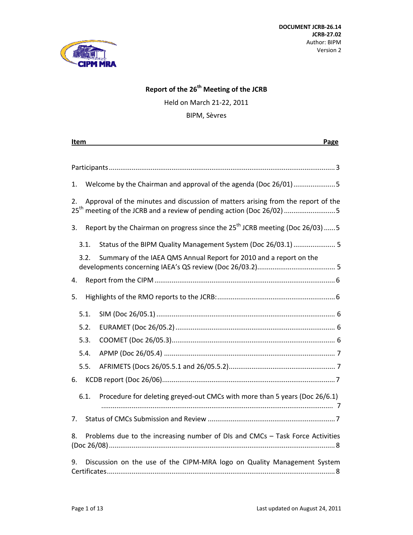

# **Report of the 26th Meeting of the JCRB**

Held on March 21‐22, 2011

BIPM, Sèvres

| Page<br>Item                                                                                                                                                                |  |  |
|-----------------------------------------------------------------------------------------------------------------------------------------------------------------------------|--|--|
|                                                                                                                                                                             |  |  |
|                                                                                                                                                                             |  |  |
| Welcome by the Chairman and approval of the agenda (Doc 26/01)5<br>1.                                                                                                       |  |  |
| Approval of the minutes and discussion of matters arising from the report of the<br>2.<br>25 <sup>th</sup> meeting of the JCRB and a review of pending action (Doc 26/02) 5 |  |  |
| Report by the Chairman on progress since the $25^{th}$ JCRB meeting (Doc 26/03)  5<br>3.                                                                                    |  |  |
| Status of the BIPM Quality Management System (Doc 26/03.1)  5<br>3.1.                                                                                                       |  |  |
| Summary of the IAEA QMS Annual Report for 2010 and a report on the<br>3.2.                                                                                                  |  |  |
| 4.                                                                                                                                                                          |  |  |
| 5.                                                                                                                                                                          |  |  |
| 5.1.                                                                                                                                                                        |  |  |
| 5.2.                                                                                                                                                                        |  |  |
| 5.3.                                                                                                                                                                        |  |  |
| 5.4.                                                                                                                                                                        |  |  |
| 5.5.                                                                                                                                                                        |  |  |
| 6.                                                                                                                                                                          |  |  |
| 6.1.<br>Procedure for deleting greyed-out CMCs with more than 5 years (Doc 26/6.1)                                                                                          |  |  |
| 7.                                                                                                                                                                          |  |  |
| Problems due to the increasing number of DIs and CMCs - Task Force Activities<br>8.                                                                                         |  |  |
| Discussion on the use of the CIPM-MRA logo on Quality Management System<br>9.                                                                                               |  |  |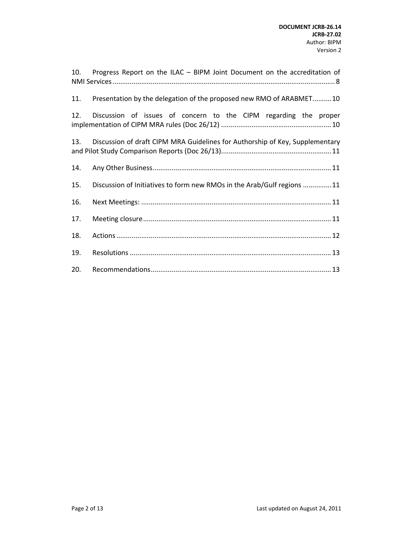| 10. | Progress Report on the ILAC - BIPM Joint Document on the accreditation of    |
|-----|------------------------------------------------------------------------------|
| 11. | Presentation by the delegation of the proposed new RMO of ARABMET10          |
| 12. | Discussion of issues of concern to the CIPM regarding the proper             |
| 13. | Discussion of draft CIPM MRA Guidelines for Authorship of Key, Supplementary |
| 14. |                                                                              |
| 15. | Discussion of Initiatives to form new RMOs in the Arab/Gulf regions 11       |
| 16. |                                                                              |
| 17. |                                                                              |
| 18. |                                                                              |
| 19. |                                                                              |
| 20. |                                                                              |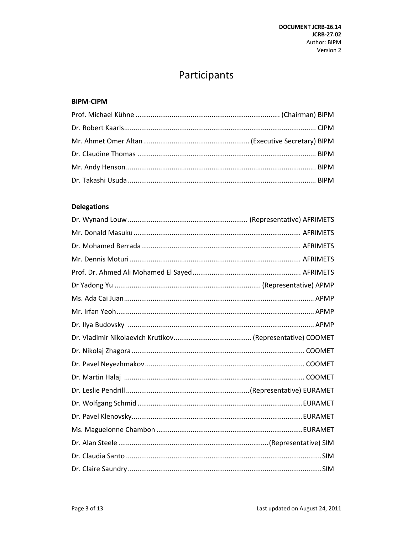# Participants

#### **BIPM-CIPM**

### **Delegations**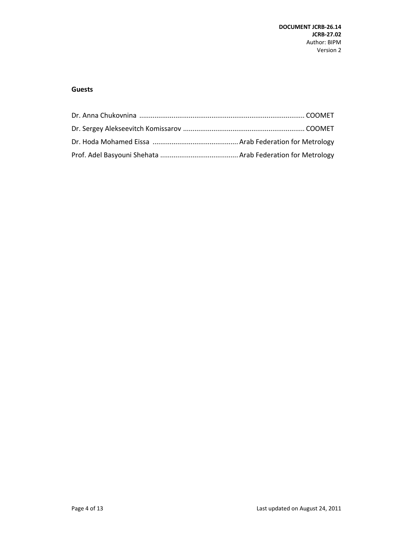#### **Guests**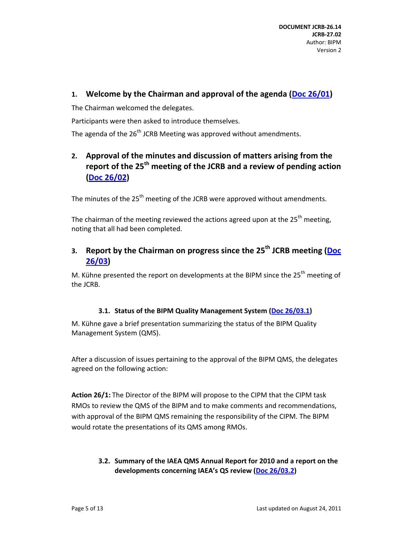### **1. Welcome by the Chairman and approval of the agenda (Doc 26/01)**

The Chairman welcomed the delegates.

Participants were then asked to introduce themselves.

The agenda of the  $26<sup>th</sup>$  JCRB Meeting was approved without amendments.

# **2. Approval of the minutes and discussion of matters arising from the report of the 25th meeting of the JCRB and a review of pending action (Doc 26/02)**

The minutes of the  $25<sup>th</sup>$  meeting of the JCRB were approved without amendments.

The chairman of the meeting reviewed the actions agreed upon at the  $25<sup>th</sup>$  meeting. noting that all had been completed.

# **3. Report by the Chairman on progress since the 25th JCRB meeting (Doc 26/03)**

M. Kühne presented the report on developments at the BIPM since the  $25<sup>th</sup>$  meeting of the JCRB.

### **3.1. Status of the BIPM Quality Management System (Doc 26/03.1)**

M. Kühne gave a brief presentation summarizing the status of the BIPM Quality Management System (QMS).

After a discussion of issues pertaining to the approval of the BIPM QMS, the delegates agreed on the following action:

**Action 26/1:** The Director of the BIPM will propose to the CIPM that the CIPM task RMOs to review the QMS of the BIPM and to make comments and recommendations, with approval of the BIPM QMS remaining the responsibility of the CIPM. The BIPM would rotate the presentations of its QMS among RMOs.

### **3.2. Summary of the IAEA QMS Annual Report for 2010 and a report on the developments concerning IAEA's QS review (Doc 26/03.2)**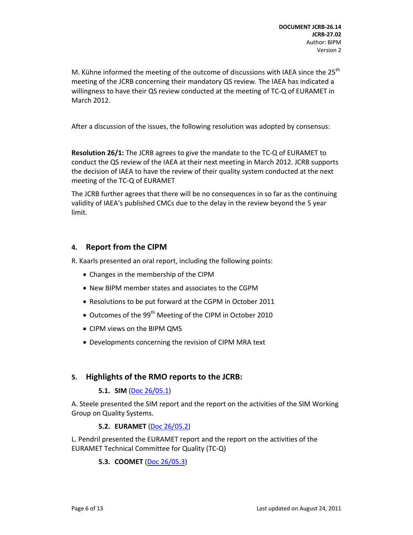M. Kühne informed the meeting of the outcome of discussions with IAEA since the  $25<sup>th</sup>$ meeting of the JCRB concerning their mandatory QS review. The IAEA has indicated a willingness to have their QS review conducted at the meeting of TC‐Q of EURAMET in March 2012.

After a discussion of the issues, the following resolution was adopted by consensus:

**Resolution 26/1:** The JCRB agrees to give the mandate to the TC‐Q of EURAMET to conduct the QS review of the IAEA at their next meeting in March 2012. JCRB supports the decision of IAEA to have the review of their quality system conducted at the next meeting of the TC‐Q of EURAMET

The JCRB further agrees that there will be no consequences in so far as the continuing validity of IAEA's published CMCs due to the delay in the review beyond the 5 year limit.

### **4. Report from the CIPM**

R. Kaarls presented an oral report, including the following points:

- Changes in the membership of the CIPM
- New BIPM member states and associates to the CGPM
- Resolutions to be put forward at the CGPM in October 2011
- Outcomes of the 99<sup>th</sup> Meeting of the CIPM in October 2010
- CIPM views on the BIPM QMS
- Developments concerning the revision of CIPM MRA text

### **5. Highlights of the RMO reports to the JCRB:**

#### **5.1. SIM** (Doc 26/05.1)

A. Steele presented the SIM report and the report on the activities of the SIM Working Group on Quality Systems.

#### **5.2. EURAMET** (Doc 26/05.2)

L. Pendril presented the EURAMET report and the report on the activities of the EURAMET Technical Committee for Quality (TC‐Q)

#### **5.3. COOMET** (Doc 26/05.3)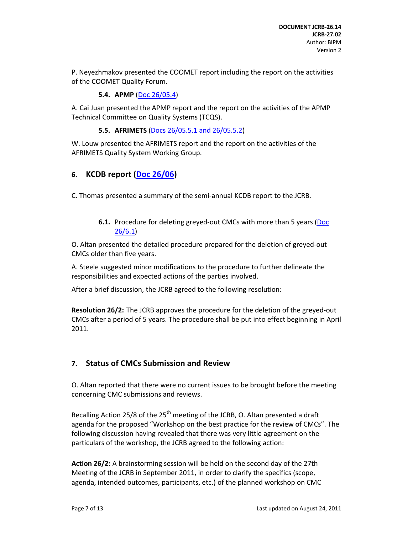P. Neyezhmakov presented the COOMET report including the report on the activities of the COOMET Quality Forum.

**5.4. APMP** (Doc 26/05.4)

A. Cai Juan presented the APMP report and the report on the activities of the APMP Technical Committee on Quality Systems (TCQS).

**5.5. AFRIMETS** (Docs 26/05.5.1 and 26/05.5.2)

W. Louw presented the AFRIMETS report and the report on the activities of the AFRIMETS Quality System Working Group.

# **6. KCDB report (Doc 26/06)**

C. Thomas presented a summary of the semi‐annual KCDB report to the JCRB.

**6.1.** Procedure for deleting greyed-out CMCs with more than 5 years (Doc 26/6.1)

O. Altan presented the detailed procedure prepared for the deletion of greyed‐out CMCs older than five years.

A. Steele suggested minor modifications to the procedure to further delineate the responsibilities and expected actions of the parties involved.

After a brief discussion, the JCRB agreed to the following resolution:

**Resolution 26/2:** The JCRB approves the procedure for the deletion of the greyed‐out CMCs after a period of 5 years. The procedure shall be put into effect beginning in April 2011.

### **7. Status of CMCs Submission and Review**

O. Altan reported that there were no current issues to be brought before the meeting concerning CMC submissions and reviews.

Recalling Action 25/8 of the  $25<sup>th</sup>$  meeting of the JCRB, O. Altan presented a draft agenda for the proposed "Workshop on the best practice for the review of CMCs". The following discussion having revealed that there was very little agreement on the particulars of the workshop, the JCRB agreed to the following action:

**Action 26/2:** A brainstorming session will be held on the second day of the 27th Meeting of the JCRB in September 2011, in order to clarify the specifics (scope, agenda, intended outcomes, participants, etc.) of the planned workshop on CMC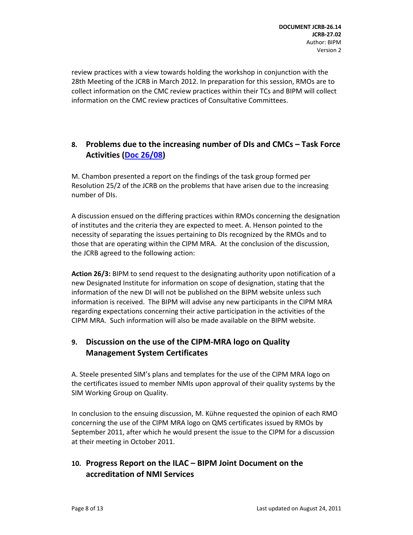review practices with a view towards holding the workshop in conjunction with the 28th Meeting of the JCRB in March 2012. In preparation for this session, RMOs are to collect information on the CMC review practices within their TCs and BIPM will collect information on the CMC review practices of Consultative Committees.

# **8. Problems due to the increasing number of DIs and CMCs – Task Force Activities (Doc 26/08)**

M. Chambon presented a report on the findings of the task group formed per Resolution 25/2 of the JCRB on the problems that have arisen due to the increasing number of DIs.

A discussion ensued on the differing practices within RMOs concerning the designation of institutes and the criteria they are expected to meet. A. Henson pointed to the necessity of separating the issues pertaining to DIs recognized by the RMOs and to those that are operating within the CIPM MRA. At the conclusion of the discussion, the JCRB agreed to the following action:

**Action 26/3:** BIPM to send request to the designating authority upon notification of a new Designated Institute for information on scope of designation, stating that the information of the new DI will not be published on the BIPM website unless such information is received. The BIPM will advise any new participants in the CIPM MRA regarding expectations concerning their active participation in the activities of the CIPM MRA. Such information will also be made available on the BIPM website.

### **9. Discussion on the use of the CIPM‐MRA logo on Quality Management System Certificates**

A. Steele presented SIM's plans and templates for the use of the CIPM MRA logo on the certificates issued to member NMIs upon approval of their quality systems by the SIM Working Group on Quality.

In conclusion to the ensuing discussion, M. Kühne requested the opinion of each RMO concerning the use of the CIPM MRA logo on QMS certificates issued by RMOs by September 2011, after which he would present the issue to the CIPM for a discussion at their meeting in October 2011.

### **10. Progress Report on the ILAC – BIPM Joint Document on the accreditation of NMI Services**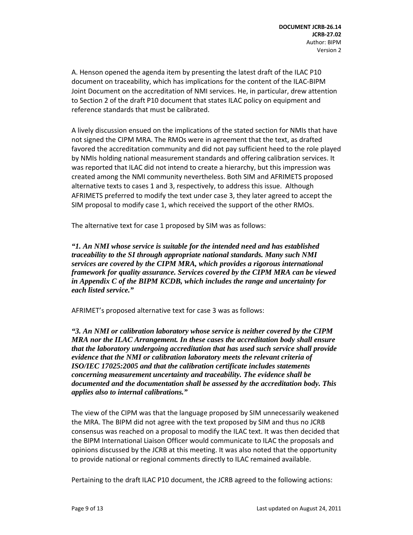A. Henson opened the agenda item by presenting the latest draft of the ILAC P10 document on traceability, which has implications for the content of the ILAC‐BIPM Joint Document on the accreditation of NMI services. He, in particular, drew attention to Section 2 of the draft P10 document that states ILAC policy on equipment and reference standards that must be calibrated.

A lively discussion ensued on the implications of the stated section for NMIs that have not signed the CIPM MRA. The RMOs were in agreement that the text, as drafted favored the accreditation community and did not pay sufficient heed to the role played by NMIs holding national measurement standards and offering calibration services. It was reported that ILAC did not intend to create a hierarchy, but this impression was created among the NMI community nevertheless. Both SIM and AFRIMETS proposed alternative texts to cases 1 and 3, respectively, to address this issue. Although AFRIMETS preferred to modify the text under case 3, they later agreed to accept the SIM proposal to modify case 1, which received the support of the other RMOs.

The alternative text for case 1 proposed by SIM was as follows:

*"1. An NMI whose service is suitable for the intended need and has established traceability to the SI through appropriate national standards. Many such NMI services are covered by the CIPM MRA, which provides a rigorous international framework for quality assurance. Services covered by the CIPM MRA can be viewed in Appendix C of the BIPM KCDB, which includes the range and uncertainty for each listed service."* 

AFRIMET's proposed alternative text for case 3 was as follows:

*"3. An NMI or calibration laboratory whose service is neither covered by the CIPM MRA nor the ILAC Arrangement. In these cases the accreditation body shall ensure that the laboratory undergoing accreditation that has used such service shall provide evidence that the NMI or calibration laboratory meets the relevant criteria of ISO/IEC 17025:2005 and that the calibration certificate includes statements concerning measurement uncertainty and traceability. The evidence shall be documented and the documentation shall be assessed by the accreditation body. This applies also to internal calibrations."* 

The view of the CIPM was that the language proposed by SIM unnecessarily weakened the MRA. The BIPM did not agree with the text proposed by SIM and thus no JCRB consensus was reached on a proposal to modify the ILAC text. It was then decided that the BIPM International Liaison Officer would communicate to ILAC the proposals and opinions discussed by the JCRB at this meeting. It was also noted that the opportunity to provide national or regional comments directly to ILAC remained available.

Pertaining to the draft ILAC P10 document, the JCRB agreed to the following actions: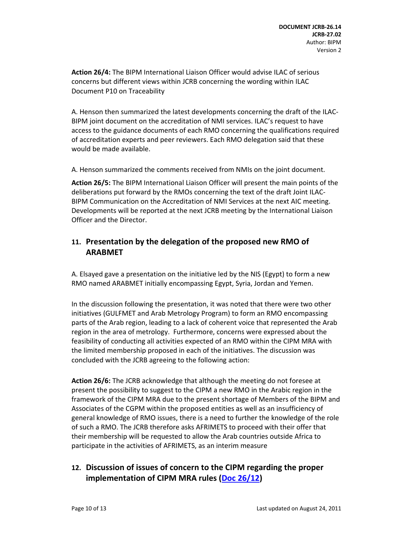**Action 26/4:** The BIPM International Liaison Officer would advise ILAC of serious concerns but different views within JCRB concerning the wording within ILAC Document P10 on Traceability

A. Henson then summarized the latest developments concerning the draft of the ILAC‐ BIPM joint document on the accreditation of NMI services. ILAC's request to have access to the guidance documents of each RMO concerning the qualifications required of accreditation experts and peer reviewers. Each RMO delegation said that these would be made available.

A. Henson summarized the comments received from NMIs on the joint document.

**Action 26/5:** The BIPM International Liaison Officer will present the main points of the deliberations put forward by the RMOs concerning the text of the draft Joint ILAC‐ BIPM Communication on the Accreditation of NMI Services at the next AIC meeting. Developments will be reported at the next JCRB meeting by the International Liaison Officer and the Director.

### **11. Presentation by the delegation of the proposed new RMO of ARABMET**

A. Elsayed gave a presentation on the initiative led by the NIS (Egypt) to form a new RMO named ARABMET initially encompassing Egypt, Syria, Jordan and Yemen.

In the discussion following the presentation, it was noted that there were two other initiatives (GULFMET and Arab Metrology Program) to form an RMO encompassing parts of the Arab region, leading to a lack of coherent voice that represented the Arab region in the area of metrology. Furthermore, concerns were expressed about the feasibility of conducting all activities expected of an RMO within the CIPM MRA with the limited membership proposed in each of the initiatives. The discussion was concluded with the JCRB agreeing to the following action:

**Action 26/6:** The JCRB acknowledge that although the meeting do not foresee at present the possibility to suggest to the CIPM a new RMO in the Arabic region in the framework of the CIPM MRA due to the present shortage of Members of the BIPM and Associates of the CGPM within the proposed entities as well as an insufficiency of general knowledge of RMO issues, there is a need to further the knowledge of the role of such a RMO. The JCRB therefore asks AFRIMETS to proceed with their offer that their membership will be requested to allow the Arab countries outside Africa to participate in the activities of AFRIMETS, as an interim measure

# **12. Discussion of issues of concern to the CIPM regarding the proper implementation of CIPM MRA rules (Doc 26/12)**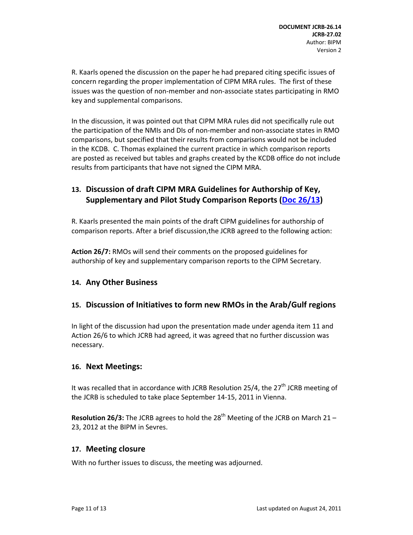R. Kaarls opened the discussion on the paper he had prepared citing specific issues of concern regarding the proper implementation of CIPM MRA rules. The first of these issues was the question of non‐member and non‐associate states participating in RMO key and supplemental comparisons.

In the discussion, it was pointed out that CIPM MRA rules did not specifically rule out the participation of the NMIs and DIs of non‐member and non‐associate states in RMO comparisons, but specified that their results from comparisons would not be included in the KCDB. C. Thomas explained the current practice in which comparison reports are posted as received but tables and graphs created by the KCDB office do not include results from participants that have not signed the CIPM MRA.

### **13. Discussion of draft CIPM MRA Guidelines for Authorship of Key, Supplementary and Pilot Study Comparison Reports (Doc 26/13)**

R. Kaarls presented the main points of the draft CIPM guidelines for authorship of comparison reports. After a brief discussion,the JCRB agreed to the following action:

**Action 26/7:** RMOs will send their comments on the proposed guidelines for authorship of key and supplementary comparison reports to the CIPM Secretary.

### **14. Any Other Business**

### **15. Discussion of Initiatives to form new RMOs in the Arab/Gulf regions**

In light of the discussion had upon the presentation made under agenda item 11 and Action 26/6 to which JCRB had agreed, it was agreed that no further discussion was necessary.

#### **16. Next Meetings:**

It was recalled that in accordance with JCRB Resolution 25/4, the  $27<sup>th</sup>$  JCRB meeting of the JCRB is scheduled to take place September 14‐15, 2011 in Vienna.

**Resolution 26/3:** The JCRB agrees to hold the 28<sup>th</sup> Meeting of the JCRB on March 21 – 23, 2012 at the BIPM in Sevres.

#### **17. Meeting closure**

With no further issues to discuss, the meeting was adjourned.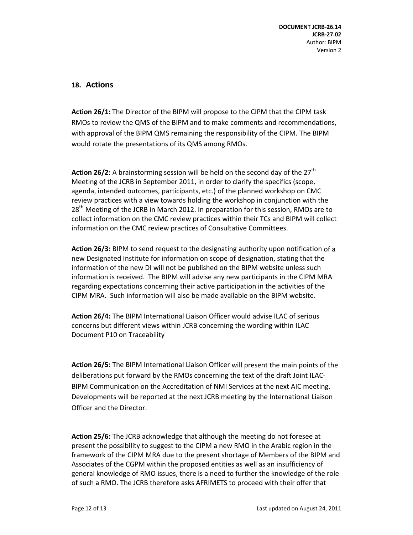### **18. Actions**

**Action 26/1:** The Director of the BIPM will propose to the CIPM that the CIPM task RMOs to review the QMS of the BIPM and to make comments and recommendations, with approval of the BIPM QMS remaining the responsibility of the CIPM. The BIPM would rotate the presentations of its QMS among RMOs.

**Action 26/2:** A brainstorming session will be held on the second day of the 27<sup>th</sup> Meeting of the JCRB in September 2011, in order to clarify the specifics (scope, agenda, intended outcomes, participants, etc.) of the planned workshop on CMC review practices with a view towards holding the workshop in conjunction with the 28<sup>th</sup> Meeting of the JCRB in March 2012. In preparation for this session, RMOs are to collect information on the CMC review practices within their TCs and BIPM will collect information on the CMC review practices of Consultative Committees.

**Action 26/3:** BIPM to send request to the designating authority upon notification of a new Designated Institute for information on scope of designation, stating that the information of the new DI will not be published on the BIPM website unless such information is received. The BIPM will advise any new participants in the CIPM MRA regarding expectations concerning their active participation in the activities of the CIPM MRA. Such information will also be made available on the BIPM website.

**Action 26/4:** The BIPM International Liaison Officer would advise ILAC of serious concerns but different views within JCRB concerning the wording within ILAC Document P10 on Traceability

**Action 26/5:** The BIPM International Liaison Officer will present the main points of the deliberations put forward by the RMOs concerning the text of the draft Joint ILAC‐ BIPM Communication on the Accreditation of NMI Services at the next AIC meeting. Developments will be reported at the next JCRB meeting by the International Liaison Officer and the Director.

**Action 25/6:** The JCRB acknowledge that although the meeting do not foresee at present the possibility to suggest to the CIPM a new RMO in the Arabic region in the framework of the CIPM MRA due to the present shortage of Members of the BIPM and Associates of the CGPM within the proposed entities as well as an insufficiency of general knowledge of RMO issues, there is a need to further the knowledge of the role of such a RMO. The JCRB therefore asks AFRIMETS to proceed with their offer that